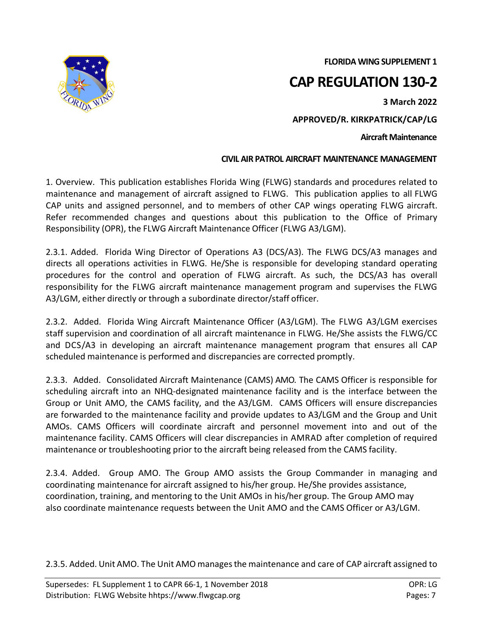**FLORIDA WING SUPPLEMENT 1**



## **CAP REGULATION 130-2**

**3 March 2022**

**APPROVED/R. KIRKPATRICK/CAP/LG**

**Aircraft Maintenance**

## **CIVIL AIR PATROL AIRCRAFT MAINTENANCE MANAGEMENT**

1. Overview. This publication establishes Florida Wing (FLWG) standards and procedures related to maintenance and management of aircraft assigned to FLWG. This publication applies to all FLWG CAP units and assigned personnel, and to members of other CAP wings operating FLWG aircraft. Refer recommended changes and questions about this publication to the Office of Primary Responsibility (OPR), the FLWG Aircraft Maintenance Officer (FLWG A3/LGM).

2.3.1. Added. Florida Wing Director of Operations A3 (DCS/A3). The FLWG DCS/A3 manages and directs all operations activities in FLWG. He/She is responsible for developing standard operating procedures for the control and operation of FLWG aircraft. As such, the DCS/A3 has overall responsibility for the FLWG aircraft maintenance management program and supervises the FLWG A3/LGM, either directly or through a subordinate director/staff officer.

2.3.2. Added. Florida Wing Aircraft Maintenance Officer (A3/LGM). The FLWG A3/LGM exercises staff supervision and coordination of all aircraft maintenance in FLWG. He/She assists the FLWG/CC and DCS/A3 in developing an aircraft maintenance management program that ensures all CAP scheduled maintenance is performed and discrepancies are corrected promptly.

2.3.3. Added. Consolidated Aircraft Maintenance (CAMS) AMO. The CAMS Officer is responsible for scheduling aircraft into an NHQ-designated maintenance facility and is the interface between the Group or Unit AMO, the CAMS facility, and the A3/LGM. CAMS Officers will ensure discrepancies are forwarded to the maintenance facility and provide updates to A3/LGM and the Group and Unit AMOs. CAMS Officers will coordinate aircraft and personnel movement into and out of the maintenance facility. CAMS Officers will clear discrepancies in AMRAD after completion of required maintenance or troubleshooting prior to the aircraft being released from the CAMS facility.

2.3.4. Added. Group AMO. The Group AMO assists the Group Commander in managing and coordinating maintenance for aircraft assigned to his/her group. He/She provides assistance, coordination, training, and mentoring to the Unit AMOs in his/her group. The Group AMO may also coordinate maintenance requests between the Unit AMO and the CAMS Officer or A3/LGM.

2.3.5. Added. Unit AMO. The Unit AMO manages the maintenance and care of CAP aircraft assigned to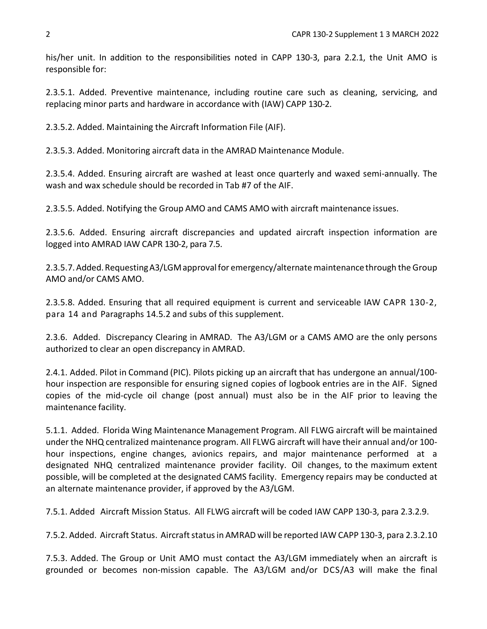his/her unit. In addition to the responsibilities noted in CAPP 130-3, para 2.2.1, the Unit AMO is responsible for:

2.3.5.1. Added. Preventive maintenance, including routine care such as cleaning, servicing, and replacing minor parts and hardware in accordance with (IAW) CAPP 130-2.

2.3.5.2. Added. Maintaining the Aircraft Information File (AIF).

2.3.5.3. Added. Monitoring aircraft data in the AMRAD Maintenance Module.

2.3.5.4. Added. Ensuring aircraft are washed at least once quarterly and waxed semi-annually. The wash and wax schedule should be recorded in Tab #7 of the AIF.

2.3.5.5. Added. Notifying the Group AMO and CAMS AMO with aircraft maintenance issues.

2.3.5.6. Added. Ensuring aircraft discrepancies and updated aircraft inspection information are logged into AMRAD IAW CAPR 130-2, para 7.5.

2.3.5.7. Added. Requesting A3/LGM approval for emergency/alternate maintenance through the Group AMO and/or CAMS AMO.

2.3.5.8. Added. Ensuring that all required equipment is current and serviceable IAW CAPR 130-2, para 14 and Paragraphs 14.5.2 and subs of this supplement.

2.3.6. Added. Discrepancy Clearing in AMRAD. The A3/LGM or a CAMS AMO are the only persons authorized to clear an open discrepancy in AMRAD.

2.4.1. Added. Pilot in Command (PIC). Pilots picking up an aircraft that has undergone an annual/100 hour inspection are responsible for ensuring signed copies of logbook entries are in the AIF. Signed copies of the mid-cycle oil change (post annual) must also be in the AIF prior to leaving the maintenance facility.

5.1.1. Added. Florida Wing Maintenance Management Program. All FLWG aircraft will be maintained under the NHQ centralized maintenance program. All FLWG aircraft will have their annual and/or 100 hour inspections, engine changes, avionics repairs, and major maintenance performed at a designated NHQ centralized maintenance provider facility. Oil changes, to the maximum extent possible, will be completed at the designated CAMS facility. Emergency repairs may be conducted at an alternate maintenance provider, if approved by the A3/LGM.

7.5.1. Added Aircraft Mission Status. All FLWG aircraft will be coded IAW CAPP 130-3, para 2.3.2.9.

7.5.2. Added. Aircraft Status. Aircraft status in AMRAD will be reported IAW CAPP 130-3, para 2.3.2.10

7.5.3. Added. The Group or Unit AMO must contact the A3/LGM immediately when an aircraft is grounded or becomes non-mission capable. The A3/LGM and/or DCS/A3 will make the final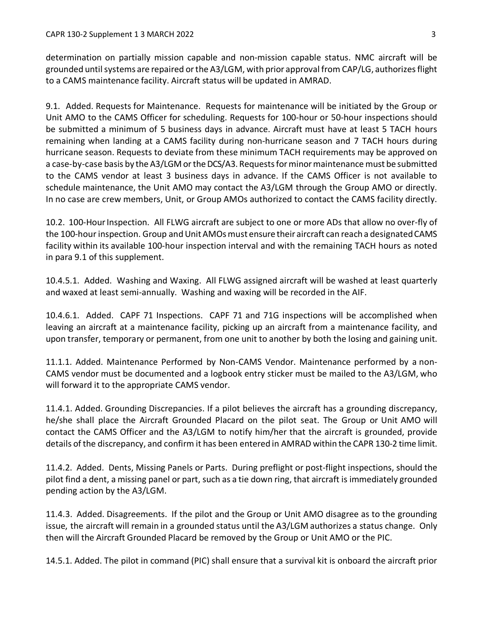determination on partially mission capable and non-mission capable status. NMC aircraft will be grounded until systems are repaired or the A3/LGM, with prior approval from CAP/LG, authorizes flight to a CAMS maintenance facility. Aircraft status will be updated in AMRAD.

9.1. Added. Requests for Maintenance. Requests for maintenance will be initiated by the Group or Unit AMO to the CAMS Officer for scheduling. Requests for 100-hour or 50-hour inspections should be submitted a minimum of 5 business days in advance. Aircraft must have at least 5 TACH hours remaining when landing at a CAMS facility during non-hurricane season and 7 TACH hours during hurricane season. Requests to deviate from these minimum TACH requirements may be approved on a case-by-case basis by the A3/LGM or the DCS/A3. Requests for minor maintenance must be submitted to the CAMS vendor at least 3 business days in advance. If the CAMS Officer is not available to schedule maintenance, the Unit AMO may contact the A3/LGM through the Group AMO or directly. In no case are crew members, Unit, or Group AMOs authorized to contact the CAMS facility directly.

10.2. 100-Hour Inspection. All FLWG aircraft are subject to one or more ADs that allow no over-fly of the 100-hour inspection. Group and Unit AMOs must ensure their aircraft can reach a designated CAMS facility within its available 100-hour inspection interval and with the remaining TACH hours as noted in para 9.1 of this supplement.

10.4.5.1. Added. Washing and Waxing. All FLWG assigned aircraft will be washed at least quarterly and waxed at least semi-annually. Washing and waxing will be recorded in the AIF.

10.4.6.1. Added. CAPF 71 Inspections. CAPF 71 and 71G inspections will be accomplished when leaving an aircraft at a maintenance facility, picking up an aircraft from a maintenance facility, and upon transfer, temporary or permanent, from one unit to another by both the losing and gaining unit.

11.1.1. Added. Maintenance Performed by Non-CAMS Vendor. Maintenance performed by a non-CAMS vendor must be documented and a logbook entry sticker must be mailed to the A3/LGM, who will forward it to the appropriate CAMS vendor.

11.4.1. Added. Grounding Discrepancies. If a pilot believes the aircraft has a grounding discrepancy, he/she shall place the Aircraft Grounded Placard on the pilot seat. The Group or Unit AMO will contact the CAMS Officer and the A3/LGM to notify him/her that the aircraft is grounded, provide details of the discrepancy, and confirm it has been entered in AMRAD within the CAPR 130-2 time limit.

11.4.2. Added. Dents, Missing Panels or Parts. During preflight or post-flight inspections, should the pilot find a dent, a missing panel or part, such as a tie down ring, that aircraft is immediately grounded pending action by the A3/LGM.

11.4.3. Added. Disagreements. If the pilot and the Group or Unit AMO disagree as to the grounding issue, the aircraft will remain in a grounded status until the A3/LGM authorizes a status change. Only then will the Aircraft Grounded Placard be removed by the Group or Unit AMO or the PIC.

14.5.1. Added. The pilot in command (PIC) shall ensure that a survival kit is onboard the aircraft prior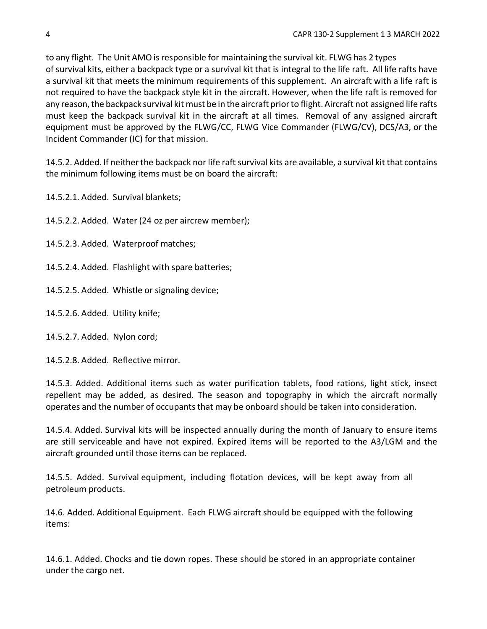to any flight. The Unit AMO is responsible for maintaining the survival kit. FLWG has 2 types of survival kits, either a backpack type or a survival kit that is integral to the life raft. All life rafts have a survival kit that meets the minimum requirements of this supplement. An aircraft with a life raft is not required to have the backpack style kit in the aircraft. However, when the life raft is removed for any reason, the backpack survival kit must be in the aircraft prior to flight. Aircraft not assigned life rafts must keep the backpack survival kit in the aircraft at all times. Removal of any assigned aircraft equipment must be approved by the FLWG/CC, FLWG Vice Commander (FLWG/CV), DCS/A3, or the Incident Commander (IC) for that mission.

14.5.2. Added. If neither the backpack nor life raft survival kits are available, a survival kit that contains the minimum following items must be on board the aircraft:

14.5.2.1. Added. Survival blankets;

14.5.2.2. Added. Water (24 oz per aircrew member);

14.5.2.3. Added. Waterproof matches;

14.5.2.4. Added. Flashlight with spare batteries;

14.5.2.5. Added. Whistle or signaling device;

14.5.2.6. Added. Utility knife;

14.5.2.7. Added. Nylon cord;

14.5.2.8. Added. Reflective mirror.

14.5.3. Added. Additional items such as water purification tablets, food rations, light stick, insect repellent may be added, as desired. The season and topography in which the aircraft normally operates and the number of occupants that may be onboard should be taken into consideration.

14.5.4. Added. Survival kits will be inspected annually during the month of January to ensure items are still serviceable and have not expired. Expired items will be reported to the A3/LGM and the aircraft grounded until those items can be replaced.

14.5.5. Added. Survival equipment, including flotation devices, will be kept away from all petroleum products.

14.6. Added. Additional Equipment. Each FLWG aircraft should be equipped with the following items:

14.6.1. Added. Chocks and tie down ropes. These should be stored in an appropriate container under the cargo net.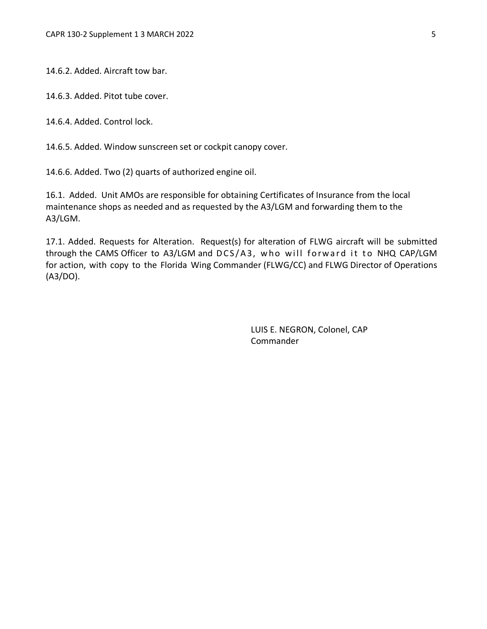14.6.2. Added. Aircraft tow bar.

14.6.3. Added. Pitot tube cover.

14.6.4. Added. Control lock.

14.6.5. Added. Window sunscreen set or cockpit canopy cover.

14.6.6. Added. Two (2) quarts of authorized engine oil.

16.1. Added. Unit AMOs are responsible for obtaining Certificates of Insurance from the local maintenance shops as needed and as requested by the A3/LGM and forwarding them to the A3/LGM.

17.1. Added. Requests for Alteration. Request(s) for alteration of FLWG aircraft will be submitted through the CAMS Officer to A3/LGM and DCS/A3, who will forward it to NHQ CAP/LGM for action, with copy to the Florida Wing Commander (FLWG/CC) and FLWG Director of Operations (A3/DO).

> LUIS E. NEGRON, Colonel, CAP Commander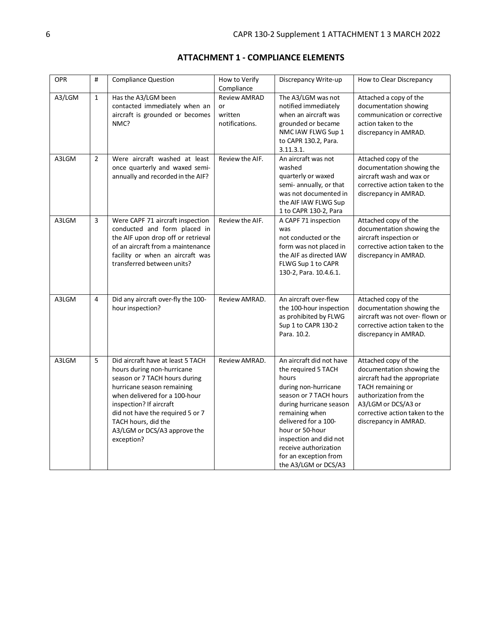| <b>OPR</b> | #              | <b>Compliance Question</b>                                                                                                                                                                                                                                                                          | How to Verify<br>Compliance                            | Discrepancy Write-up                                                                                                                                                                                                                                                                                   | How to Clear Discrepancy                                                                                                                                                                                           |
|------------|----------------|-----------------------------------------------------------------------------------------------------------------------------------------------------------------------------------------------------------------------------------------------------------------------------------------------------|--------------------------------------------------------|--------------------------------------------------------------------------------------------------------------------------------------------------------------------------------------------------------------------------------------------------------------------------------------------------------|--------------------------------------------------------------------------------------------------------------------------------------------------------------------------------------------------------------------|
| A3/LGM     | $\mathbf{1}$   | Has the A3/LGM been<br>contacted immediately when an<br>aircraft is grounded or becomes<br>NMC?                                                                                                                                                                                                     | <b>Review AMRAD</b><br>or<br>written<br>notifications. | The A3/LGM was not<br>notified immediately<br>when an aircraft was<br>grounded or became<br>NMC IAW FLWG Sup 1<br>to CAPR 130.2, Para.<br>3.11.3.1.                                                                                                                                                    | Attached a copy of the<br>documentation showing<br>communication or corrective<br>action taken to the<br>discrepancy in AMRAD.                                                                                     |
| A3LGM      | $\overline{2}$ | Were aircraft washed at least<br>once quarterly and waxed semi-<br>annually and recorded in the AIF?                                                                                                                                                                                                | Review the AIF.                                        | An aircraft was not<br>washed<br>quarterly or waxed<br>semi- annually, or that<br>was not documented in<br>the AIF IAW FLWG Sup<br>1 to CAPR 130-2, Para                                                                                                                                               | Attached copy of the<br>documentation showing the<br>aircraft wash and wax or<br>corrective action taken to the<br>discrepancy in AMRAD.                                                                           |
| A3LGM      | 3              | Were CAPF 71 aircraft inspection<br>conducted and form placed in<br>the AIF upon drop off or retrieval<br>of an aircraft from a maintenance<br>facility or when an aircraft was<br>transferred between units?                                                                                       | Review the AIF.                                        | A CAPF 71 inspection<br>was<br>not conducted or the<br>form was not placed in<br>the AIF as directed IAW<br>FLWG Sup 1 to CAPR<br>130-2, Para. 10.4.6.1.                                                                                                                                               | Attached copy of the<br>documentation showing the<br>aircraft inspection or<br>corrective action taken to the<br>discrepancy in AMRAD.                                                                             |
| A3LGM      | 4              | Did any aircraft over-fly the 100-<br>hour inspection?                                                                                                                                                                                                                                              | Review AMRAD.                                          | An aircraft over-flew<br>the 100-hour inspection<br>as prohibited by FLWG<br>Sup 1 to CAPR 130-2<br>Para, 10.2.                                                                                                                                                                                        | Attached copy of the<br>documentation showing the<br>aircraft was not over- flown or<br>corrective action taken to the<br>discrepancy in AMRAD.                                                                    |
| A3LGM      | 5              | Did aircraft have at least 5 TACH<br>hours during non-hurricane<br>season or 7 TACH hours during<br>hurricane season remaining<br>when delivered for a 100-hour<br>inspection? If aircraft<br>did not have the required 5 or 7<br>TACH hours, did the<br>A3/LGM or DCS/A3 approve the<br>exception? | Review AMRAD.                                          | An aircraft did not have<br>the required 5 TACH<br>hours<br>during non-hurricane<br>season or 7 TACH hours<br>during hurricane season<br>remaining when<br>delivered for a 100-<br>hour or 50-hour<br>inspection and did not<br>receive authorization<br>for an exception from<br>the A3/LGM or DCS/A3 | Attached copy of the<br>documentation showing the<br>aircraft had the appropriate<br>TACH remaining or<br>authorization from the<br>A3/LGM or DCS/A3 or<br>corrective action taken to the<br>discrepancy in AMRAD. |

## **ATTACHMENT 1 - COMPLIANCE ELEMENTS**